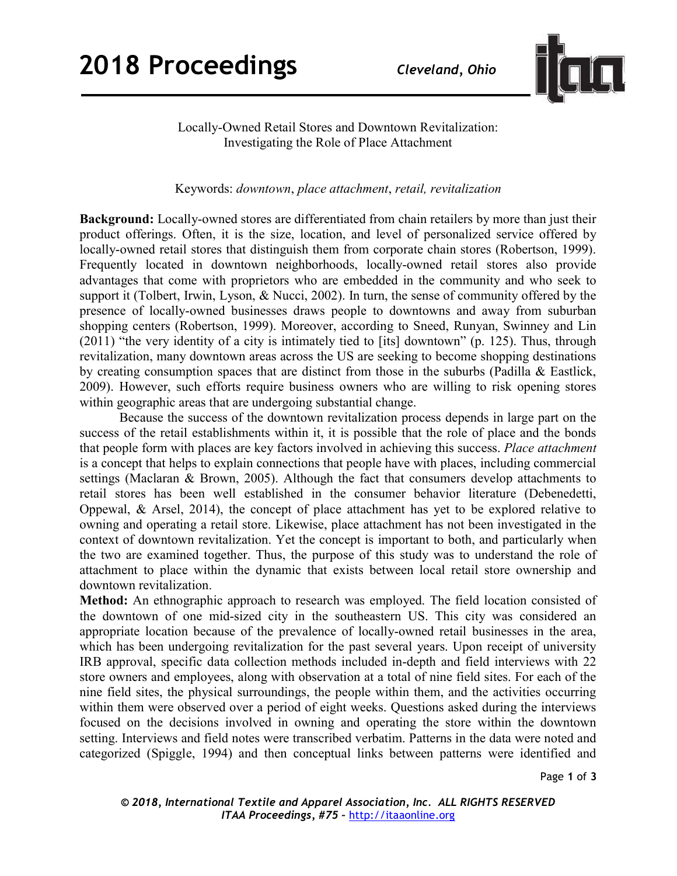

Locally-Owned Retail Stores and Downtown Revitalization: Investigating the Role of Place Attachment

Keywords: downtown, place attachment, retail, revitalization

Background: Locally-owned stores are differentiated from chain retailers by more than just their product offerings. Often, it is the size, location, and level of personalized service offered by locally-owned retail stores that distinguish them from corporate chain stores (Robertson, 1999). Frequently located in downtown neighborhoods, locally-owned retail stores also provide advantages that come with proprietors who are embedded in the community and who seek to support it (Tolbert, Irwin, Lyson, & Nucci, 2002). In turn, the sense of community offered by the presence of locally-owned businesses draws people to downtowns and away from suburban shopping centers (Robertson, 1999). Moreover, according to Sneed, Runyan, Swinney and Lin (2011) "the very identity of a city is intimately tied to [its] downtown" (p. 125). Thus, through revitalization, many downtown areas across the US are seeking to become shopping destinations by creating consumption spaces that are distinct from those in the suburbs (Padilla & Eastlick, 2009). However, such efforts require business owners who are willing to risk opening stores within geographic areas that are undergoing substantial change.

 Because the success of the downtown revitalization process depends in large part on the success of the retail establishments within it, it is possible that the role of place and the bonds that people form with places are key factors involved in achieving this success. Place attachment is a concept that helps to explain connections that people have with places, including commercial settings (Maclaran & Brown, 2005). Although the fact that consumers develop attachments to retail stores has been well established in the consumer behavior literature (Debenedetti, Oppewal, & Arsel, 2014), the concept of place attachment has yet to be explored relative to owning and operating a retail store. Likewise, place attachment has not been investigated in the context of downtown revitalization. Yet the concept is important to both, and particularly when the two are examined together. Thus, the purpose of this study was to understand the role of attachment to place within the dynamic that exists between local retail store ownership and downtown revitalization.

Method: An ethnographic approach to research was employed. The field location consisted of the downtown of one mid-sized city in the southeastern US. This city was considered an appropriate location because of the prevalence of locally-owned retail businesses in the area, which has been undergoing revitalization for the past several years. Upon receipt of university IRB approval, specific data collection methods included in-depth and field interviews with 22 store owners and employees, along with observation at a total of nine field sites. For each of the nine field sites, the physical surroundings, the people within them, and the activities occurring within them were observed over a period of eight weeks. Questions asked during the interviews focused on the decisions involved in owning and operating the store within the downtown setting. Interviews and field notes were transcribed verbatim. Patterns in the data were noted and categorized (Spiggle, 1994) and then conceptual links between patterns were identified and

Page 1 of 3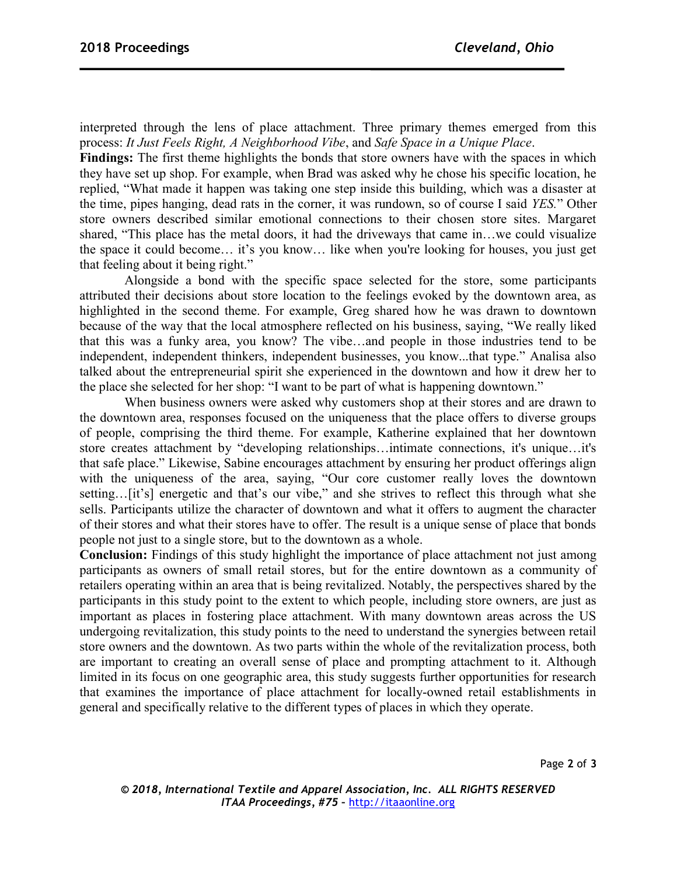interpreted through the lens of place attachment. Three primary themes emerged from this process: It Just Feels Right, A Neighborhood Vibe, and Safe Space in a Unique Place.

Findings: The first theme highlights the bonds that store owners have with the spaces in which they have set up shop. For example, when Brad was asked why he chose his specific location, he replied, "What made it happen was taking one step inside this building, which was a disaster at the time, pipes hanging, dead rats in the corner, it was rundown, so of course I said YES." Other store owners described similar emotional connections to their chosen store sites. Margaret shared, "This place has the metal doors, it had the driveways that came in...we could visualize the space it could become… it's you know… like when you're looking for houses, you just get that feeling about it being right."

 Alongside a bond with the specific space selected for the store, some participants attributed their decisions about store location to the feelings evoked by the downtown area, as highlighted in the second theme. For example, Greg shared how he was drawn to downtown because of the way that the local atmosphere reflected on his business, saying, "We really liked that this was a funky area, you know? The vibe…and people in those industries tend to be independent, independent thinkers, independent businesses, you know...that type." Analisa also talked about the entrepreneurial spirit she experienced in the downtown and how it drew her to the place she selected for her shop: "I want to be part of what is happening downtown."

 When business owners were asked why customers shop at their stores and are drawn to the downtown area, responses focused on the uniqueness that the place offers to diverse groups of people, comprising the third theme. For example, Katherine explained that her downtown store creates attachment by "developing relationships…intimate connections, it's unique…it's that safe place." Likewise, Sabine encourages attachment by ensuring her product offerings align with the uniqueness of the area, saying, "Our core customer really loves the downtown setting…[it's] energetic and that's our vibe," and she strives to reflect this through what she sells. Participants utilize the character of downtown and what it offers to augment the character of their stores and what their stores have to offer. The result is a unique sense of place that bonds people not just to a single store, but to the downtown as a whole.

Conclusion: Findings of this study highlight the importance of place attachment not just among participants as owners of small retail stores, but for the entire downtown as a community of retailers operating within an area that is being revitalized. Notably, the perspectives shared by the participants in this study point to the extent to which people, including store owners, are just as important as places in fostering place attachment. With many downtown areas across the US undergoing revitalization, this study points to the need to understand the synergies between retail store owners and the downtown. As two parts within the whole of the revitalization process, both are important to creating an overall sense of place and prompting attachment to it. Although limited in its focus on one geographic area, this study suggests further opportunities for research that examines the importance of place attachment for locally-owned retail establishments in general and specifically relative to the different types of places in which they operate.

Page 2 of 3